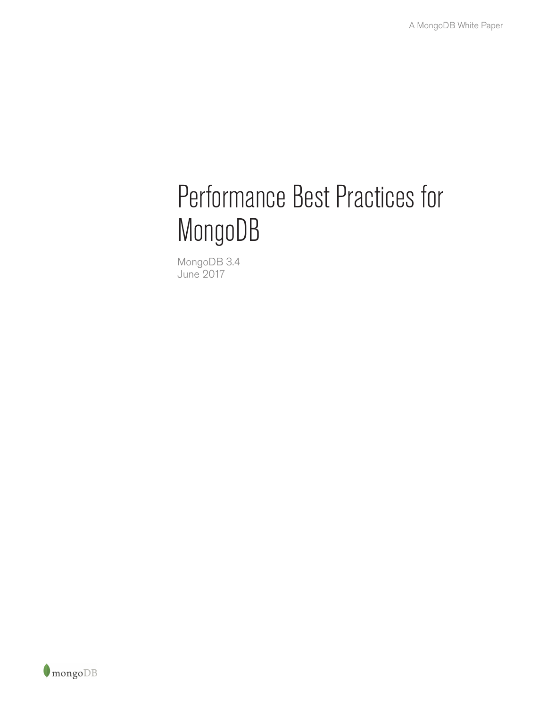# Performance Best Practices for MongoDB

MongoDB 3.4 June 2017

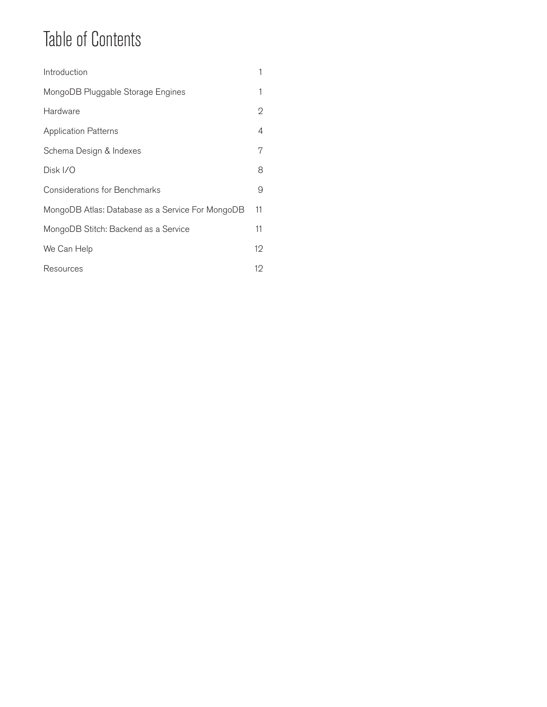## Table of Contents

| Introduction                                     | 1              |
|--------------------------------------------------|----------------|
| MongoDB Pluggable Storage Engines                | 1              |
| Hardware                                         | $\overline{2}$ |
| <b>Application Patterns</b>                      | 4              |
| Schema Design & Indexes                          | 7              |
| Disk I/O                                         | 8              |
| <b>Considerations for Benchmarks</b>             | 9              |
| MongoDB Atlas: Database as a Service For MongoDB | 11             |
| MongoDB Stitch: Backend as a Service             | 11             |
| We Can Help                                      | 12             |
| Resources                                        | 12             |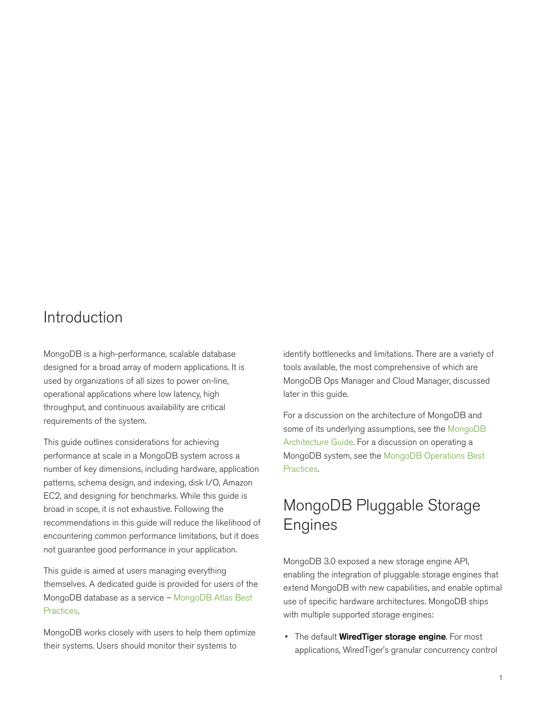### Introduction

MongoDB is a high-performance, scalable database designed for a broad array of modern applications. It is used by organizations of all sizes to power on-line, operational applications where low latency, high throughput, and continuous availability are critical requirements of the system.

This guide outlines considerations for achieving performance at scale in a MongoDB system across a number of key dimensions, including hardware, application patterns, schema design, and indexing, disk I/O, Amazon EC2, and designing for benchmarks. While this guide is broad in scope, it is not exhaustive. Following the recommendations in this guide will reduce the likelihood of encountering common performance limitations, but it does not guarantee good performance in your application.

This guide is aimed at users managing everything themselves. A dedicated guide is provided for users of the MongoDB database as a service – [MongoDB Atlas Best](https://www.mongodb.com/collateral/mongodb-atlas-best-practices) [Practices](https://www.mongodb.com/collateral/mongodb-atlas-best-practices).

MongoDB works closely with users to help them optimize their systems. Users should monitor their systems to

identify bottlenecks and limitations. There are a variety of tools available, the most comprehensive of which are MongoDB Ops Manager and Cloud Manager, discussed later in this guide.

For a discussion on the architecture of MongoDB and some of its underlying assumptions, see the [MongoDB](https://www.mongodb.com/collateral/mongodb-architecture-guide) [Architecture Guide](https://www.mongodb.com/collateral/mongodb-architecture-guide). For a discussion on operating a MongoDB system, see the [MongoDB Operations Best](https://www.mongodb.com/collateral/mongodb-operations-best-practices) [Practices.](https://www.mongodb.com/collateral/mongodb-operations-best-practices)

### MongoDB Pluggable Storage **Engines**

MongoDB 3.0 exposed a new storage engine API, enabling the integration of pluggable storage engines that extend MongoDB with new capabilities, and enable optimal use of specific hardware architectures. MongoDB ships with multiple supported storage engines:

• The default **WiredTiger storage engine**. For most applications, WiredTiger's granular concurrency control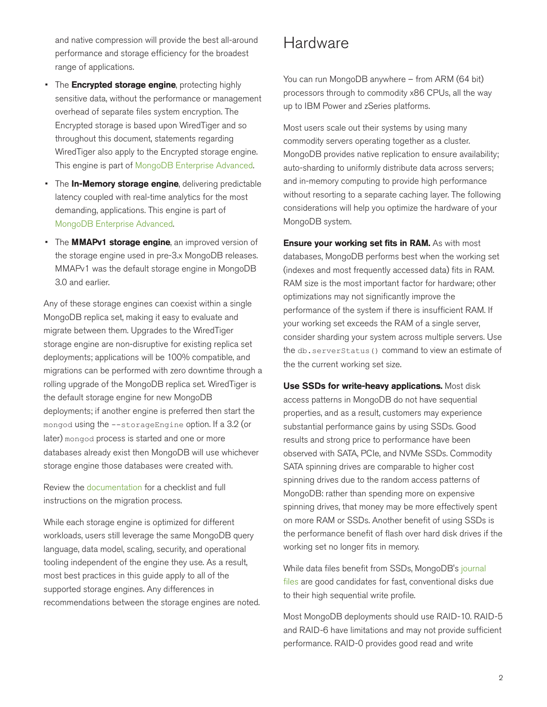and native compression will provide the best all-around performance and storage efficiency for the broadest range of applications.

- The **Encrypted storage engine**, protecting highly sensitive data, without the performance or management overhead of separate files system encryption. The Encrypted storage is based upon WiredTiger and so throughout this document, statements regarding WiredTiger also apply to the Encrypted storage engine. This engine is part of [MongoDB Enterprise Advanced](https://www.mongodb.com/products/mongodb-enterprise-advanced).
- The In-Memory storage engine, delivering predictable latency coupled with real-time analytics for the most demanding, applications. This engine is part of [MongoDB Enterprise Advanced.](https://www.mongodb.com/products/mongodb-enterprise-advanced)
- The **MMAPv1 storage engine**, an improved version of the storage engine used in pre-3.x MongoDB releases. MMAPv1 was the default storage engine in MongoDB 3.0 and earlier.

Any of these storage engines can coexist within a single MongoDB replica set, making it easy to evaluate and migrate between them. Upgrades to the WiredTiger storage engine are non-disruptive for existing replica set deployments; applications will be 100% compatible, and migrations can be performed with zero downtime through a rolling upgrade of the MongoDB replica set. WiredTiger is the default storage engine for new MongoDB deployments; if another engine is preferred then start the mongod using the --storageEngine option. If a 3.2 (or later) mongod process is started and one or more databases already exist then MongoDB will use whichever storage engine those databases were created with.

Review the [documentation](https://docs.mongodb.com/v3.2/release-notes/3.2-upgrade/#upgrade-replica-set) for a checklist and full instructions on the migration process.

While each storage engine is optimized for different workloads, users still leverage the same MongoDB query language, data model, scaling, security, and operational tooling independent of the engine they use. As a result, most best practices in this guide apply to all of the supported storage engines. Any differences in recommendations between the storage engines are noted.

### **Hardware**

You can run MongoDB anywhere – from ARM (64 bit) processors through to commodity x86 CPUs, all the way up to IBM Power and zSeries platforms.

Most users scale out their systems by using many commodity servers operating together as a cluster. MongoDB provides native replication to ensure availability; auto-sharding to uniformly distribute data across servers; and in-memory computing to provide high performance without resorting to a separate caching layer. The following considerations will help you optimize the hardware of your MongoDB system.

Ensure your working set fits in RAM. As with most databases, MongoDB performs best when the working set (indexes and most frequently accessed data) fits in RAM. RAM size is the most important factor for hardware; other optimizations may not significantly improve the performance of the system if there is insufficient RAM. If your working set exceeds the RAM of a single server, consider sharding your system across multiple servers. Use the db.serverStatus() command to view an estimate of the the current working set size.

Use SSDs for write-heavy applications. Most disk access patterns in MongoDB do not have sequential properties, and as a result, customers may experience substantial performance gains by using SSDs. Good results and strong price to performance have been observed with SATA, PCIe, and NVMe SSDs. Commodity SATA spinning drives are comparable to higher cost spinning drives due to the random access patterns of MongoDB: rather than spending more on expensive spinning drives, that money may be more effectively spent on more RAM or SSDs. Another benefit of using SSDs is the performance benefit of flash over hard disk drives if the working set no longer fits in memory.

While data files benefit from SSDs, MongoDB's [journal](https://docs.mongodb.com/manual/core/journaling/) [files](https://docs.mongodb.com/manual/core/journaling/) are good candidates for fast, conventional disks due to their high sequential write profile.

Most MongoDB deployments should use RAID-10. RAID-5 and RAID-6 have limitations and may not provide sufficient performance. RAID-0 provides good read and write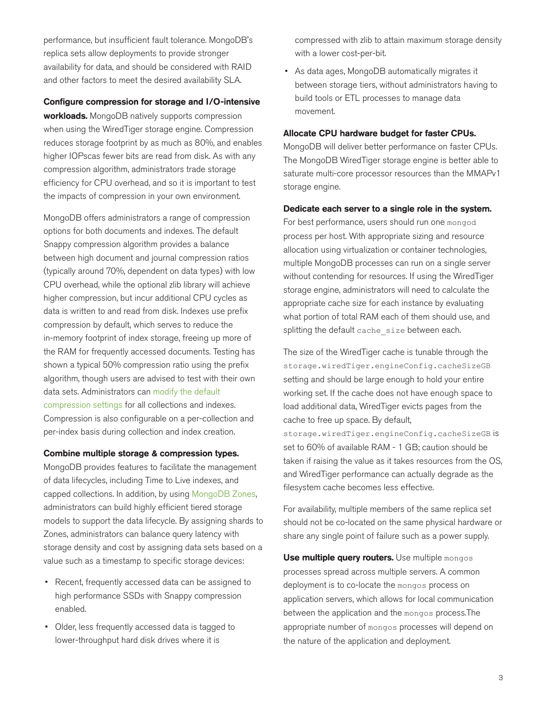performance, but insufficient fault tolerance. MongoDB's replica sets allow deployments to provide stronger availability for data, and should be considered with RAID and other factors to meet the desired availability SLA.

#### Configure compression for storage and I/O-intensive

workloads. MongoDB natively supports compression when using the WiredTiger storage engine. Compression reduces storage footprint by as much as 80%, and enables higher IOPscas fewer bits are read from disk. As with any compression algorithm, administrators trade storage efficiency for CPU overhead, and so it is important to test the impacts of compression in your own environment.

MongoDB offers administrators a range of compression options for both documents and indexes. The default Snappy compression algorithm provides a balance between high document and journal compression ratios (typically around 70%, dependent on data types) with low CPU overhead, while the optional zlib library will achieve higher compression, but incur additional CPU cycles as data is written to and read from disk. Indexes use prefix compression by default, which serves to reduce the in-memory footprint of index storage, freeing up more of the RAM for frequently accessed documents. Testing has shown a typical 50% compression ratio using the prefix algorithm, though users are advised to test with their own data sets. Administrators can [modify the default](https://docs.mongodb.com/manual/core/wiredtiger/#compression) [compression settings](https://docs.mongodb.com/manual/core/wiredtiger/#compression) for all collections and indexes. Compression is also configurable on a per-collection and per-index basis during collection and index creation.

#### Combine multiple storage & compression types.

MongoDB provides features to facilitate the management of data lifecycles, including Time to Live indexes, and capped collections. In addition, by using [MongoDB Zones](https://docs.mongodb.com/master/core/zone-sharding/), administrators can build highly efficient tiered storage models to support the data lifecycle. By assigning shards to Zones, administrators can balance query latency with storage density and cost by assigning data sets based on a value such as a timestamp to specific storage devices:

- Recent, frequently accessed data can be assigned to high performance SSDs with Snappy compression enabled.
- Older, less frequently accessed data is tagged to lower-throughput hard disk drives where it is

compressed with zlib to attain maximum storage density with a lower cost-per-bit.

• As data ages, MongoDB automatically migrates it between storage tiers, without administrators having to build tools or ETL processes to manage data movement.

#### Allocate CPU hardware budget for faster CPUs.

MongoDB will deliver better performance on faster CPUs. The MongoDB WiredTiger storage engine is better able to saturate multi-core processor resources than the MMAPv1 storage engine.

#### Dedicate each server to a single role in the system.

For best performance, users should run one mongod process per host. With appropriate sizing and resource allocation using virtualization or container technologies, multiple MongoDB processes can run on a single server without contending for resources. If using the WiredTiger storage engine, administrators will need to calculate the appropriate cache size for each instance by evaluating what portion of total RAM each of them should use, and splitting the default cache size between each.

The size of the WiredTiger cache is tunable through the storage.wiredTiger.engineConfig.cacheSizeGB setting and should be large enough to hold your entire working set. If the cache does not have enough space to load additional data, WiredTiger evicts pages from the cache to free up space. By default, storage.wiredTiger.engineConfig.cacheSizeGB is

set to 60% of available RAM - 1 GB; caution should be taken if raising the value as it takes resources from the OS, and WiredTiger performance can actually degrade as the filesystem cache becomes less effective.

For availability, multiple members of the same replica set should not be co-located on the same physical hardware or share any single point of failure such as a power supply.

Use multiple query routers. Use multiple mongos processes spread across multiple servers. A common deployment is to co-locate the mongos process on application servers, which allows for local communication between the application and the mongos process.The appropriate number of mongos processes will depend on the nature of the application and deployment.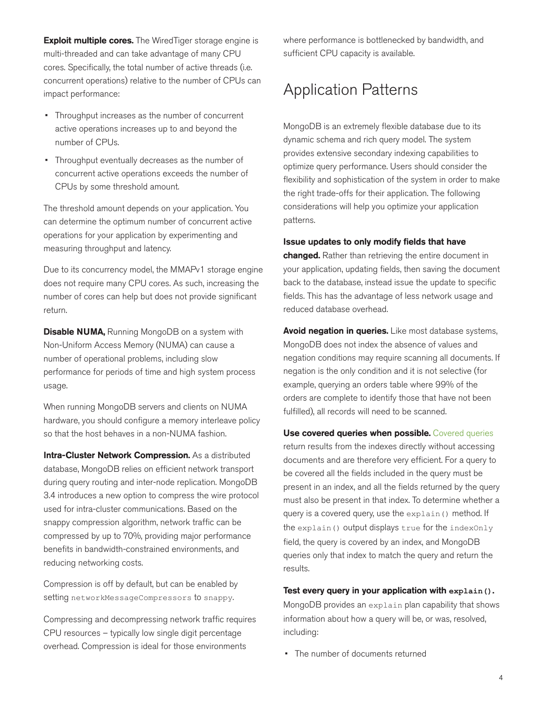**Exploit multiple cores.** The WiredTiger storage engine is multi-threaded and can take advantage of many CPU cores. Specifically, the total number of active threads (i.e. concurrent operations) relative to the number of CPUs can impact performance:

- Throughput increases as the number of concurrent active operations increases up to and beyond the number of CPUs.
- Throughput eventually decreases as the number of concurrent active operations exceeds the number of CPUs by some threshold amount.

The threshold amount depends on your application. You can determine the optimum number of concurrent active operations for your application by experimenting and measuring throughput and latency.

Due to its concurrency model, the MMAPv1 storage engine does not require many CPU cores. As such, increasing the number of cores can help but does not provide significant return.

**Disable NUMA, Running MongoDB on a system with** Non-Uniform Access Memory (NUMA) can cause a number of operational problems, including slow performance for periods of time and high system process usage.

When running MongoDB servers and clients on NUMA hardware, you should configure a memory interleave policy so that the host behaves in a non-NUMA fashion.

Intra-Cluster Network Compression. As a distributed database, MongoDB relies on efficient network transport during query routing and inter-node replication. MongoDB 3.4 introduces a new option to compress the wire protocol used for intra-cluster communications. Based on the snappy compression algorithm, network traffic can be compressed by up to 70%, providing major performance benefits in bandwidth-constrained environments, and reducing networking costs.

Compression is off by default, but can be enabled by setting networkMessageCompressors to snappy.

Compressing and decompressing network traffic requires CPU resources – typically low single digit percentage overhead. Compression is ideal for those environments

where performance is bottlenecked by bandwidth, and sufficient CPU capacity is available.

### Application Patterns

MongoDB is an extremely flexible database due to its dynamic schema and rich query model. The system provides extensive secondary indexing capabilities to optimize query performance. Users should consider the flexibility and sophistication of the system in order to make the right trade-offs for their application. The following considerations will help you optimize your application patterns.

#### Issue updates to only modify fields that have

changed. Rather than retrieving the entire document in your application, updating fields, then saving the document back to the database, instead issue the update to specific fields. This has the advantage of less network usage and reduced database overhead.

Avoid negation in queries. Like most database systems, MongoDB does not index the absence of values and negation conditions may require scanning all documents. If negation is the only condition and it is not selective (for example, querying an orders table where 99% of the orders are complete to identify those that have not been fulfilled), all records will need to be scanned.

Use covered queries when possible. [Covered queries](https://docs.mongodb.com/manual/core/query-optimization/#covered-query) return results from the indexes directly without accessing documents and are therefore very efficient. For a query to be covered all the fields included in the query must be present in an index, and all the fields returned by the query must also be present in that index. To determine whether a query is a covered query, use the [explain\(\)](https://docs.mongodb.com/manual/reference/method/cursor.explain/) method. If the explain() output displays true for the indexOnly field, the query is covered by an index, and MongoDB queries only that index to match the query and return the results.

#### Test every query in your application with **explain()**.

MongoDB provides an [explain](https://docs.mongodb.com/manual/reference/method/cursor.explain/) plan capability that shows information about how a query will be, or was, resolved, including:

• The number of documents returned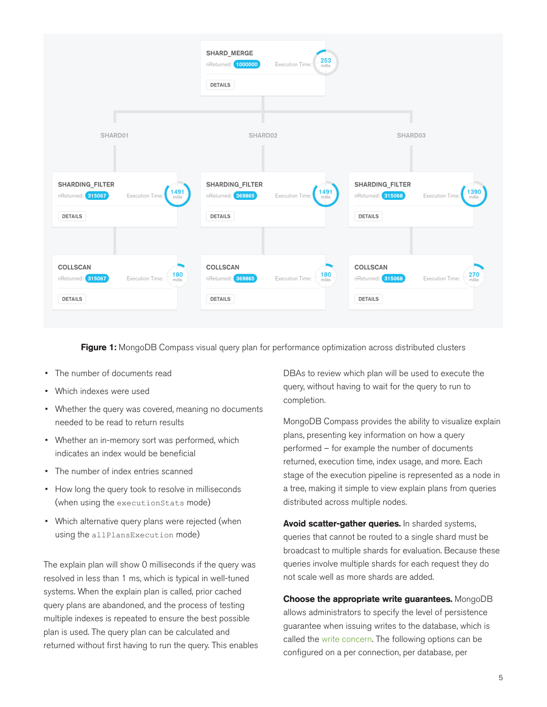

Figure 1: MongoDB Compass visual query plan for performance optimization across distributed clusters

- The number of documents read
- Which indexes were used
- Whether the query was covered, meaning no documents needed to be read to return results
- Whether an in-memory sort was performed, which indicates an index would be beneficial
- The number of index entries scanned
- How long the query took to resolve in milliseconds (when using the [executionStats](https://docs.mongodb.com/manual/reference/method/cursor.explain/#executionstats-mode) mode)
- Which alternative query plans were rejected (when using the [allPlansExecution](https://docs.mongodb.com/manual/reference/method/cursor.explain/#allplansexecution-mode) mode)

The explain plan will show 0 milliseconds if the query was resolved in less than 1 ms, which is typical in well-tuned systems. When the explain plan is called, prior cached query plans are abandoned, and the process of testing multiple indexes is repeated to ensure the best possible plan is used. The query plan can be calculated and returned without first having to run the query. This enables DBAs to review which plan will be used to execute the query, without having to wait for the query to run to completion.

MongoDB Compass provides the ability to visualize explain plans, presenting key information on how a query performed – for example the number of documents returned, execution time, index usage, and more. Each stage of the execution pipeline is represented as a node in a tree, making it simple to view explain plans from queries distributed across multiple nodes.

Avoid scatter-gather queries. In sharded systems, queries that cannot be routed to a single shard must be broadcast to multiple shards for evaluation. Because these queries involve multiple shards for each request they do not scale well as more shards are added.

Choose the appropriate write guarantees. MongoDB allows administrators to specify the level of persistence guarantee when issuing writes to the database, which is called the [write concern](http://docs.mongodb.com/manual/core/replica-set-write-concern/). The following options can be configured on a per connection, per database, per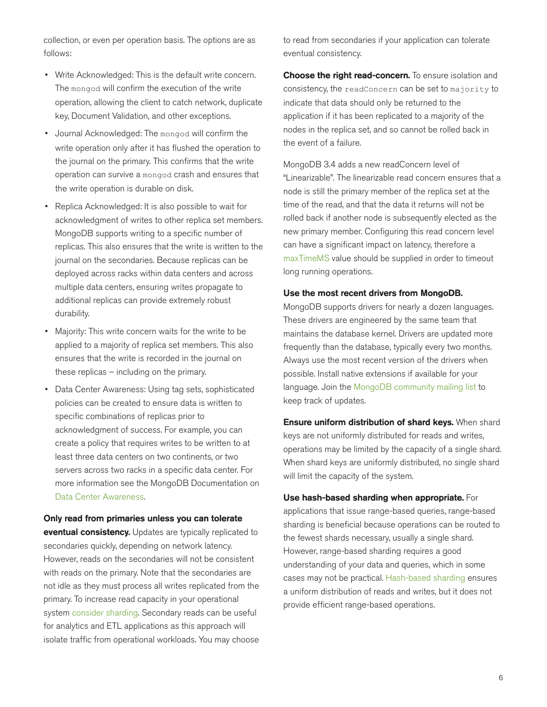collection, or even per operation basis. The options are as follows:

- Write Acknowledged: This is the default write concern. The mongod will confirm the execution of the write operation, allowing the client to catch network, duplicate key, Document Validation, and other exceptions.
- Journal Acknowledged: The mongod will confirm the write operation only after it has flushed the operation to the journal on the primary. This confirms that the write operation can survive a mongod crash and ensures that the write operation is durable on disk.
- Replica Acknowledged: It is also possible to wait for acknowledgment of writes to other replica set members. MongoDB supports writing to a specific number of replicas. This also ensures that the write is written to the journal on the secondaries. Because replicas can be deployed across racks within data centers and across multiple data centers, ensuring writes propagate to additional replicas can provide extremely robust durability.
- Majority: This write concern waits for the write to be applied to a majority of replica set members. This also ensures that the write is recorded in the journal on these replicas – including on the primary.
- Data Center Awareness: Using tag sets, sophisticated policies can be created to ensure data is written to specific combinations of replicas prior to acknowledgment of success. For example, you can create a policy that requires writes to be written to at least three data centers on two continents, or two servers across two racks in a specific data center. For more information see the MongoDB Documentation on [Data Center Awareness](http://docs.mongodb.com/manual/data-center-awareness/).

Only read from primaries unless you can tolerate eventual consistency. Updates are typically replicated to secondaries quickly, depending on network latency. However, reads on the secondaries will not be consistent with reads on the primary. Note that the secondaries are not idle as they must process all writes replicated from the primary. To increase read capacity in your operational system [consider sharding.](http://docs.mongodb.com/manual/core/sharding-introduction/) Secondary reads can be useful for analytics and ETL applications as this approach will isolate traffic from operational workloads. You may choose

to read from secondaries if your application can tolerate eventual consistency.

**Choose the right read-concern.** To ensure isolation and consistency, the [readConcern](https://docs.mongodb.com/manual/reference/readConcern/) can be set to majority to indicate that data should only be returned to the application if it has been replicated to a majority of the nodes in the replica set, and so cannot be rolled back in the event of a failure.

MongoDB 3.4 adds a new readConcern level of "Linearizable". The linearizable read concern ensures that a node is still the primary member of the replica set at the time of the read, and that the data it returns will not be rolled back if another node is subsequently elected as the new primary member. Configuring this read concern level can have a significant impact on latency, therefore a [maxTimeMS](https://docs.mongodb.com/manual/reference/method/cursor.maxTimeMS/) value should be supplied in order to timeout long running operations.

#### Use the most recent drivers from MongoDB.

MongoDB supports drivers for nearly a dozen languages. These drivers are engineered by the same team that maintains the database kernel. Drivers are updated more frequently than the database, typically every two months. Always use the most recent version of the drivers when possible. Install native extensions if available for your language. Join the [MongoDB community mailing list](https://groups.google.com/forum/#!forum/mongodb-dev) to keep track of updates.

**Ensure uniform distribution of shard keys. When shard** keys are not uniformly distributed for reads and writes, operations may be limited by the capacity of a single shard. When shard keys are uniformly distributed, no single shard will limit the capacity of the system.

#### Use hash-based sharding when appropriate. For

applications that issue range-based queries, range-based sharding is beneficial because operations can be routed to the fewest shards necessary, usually a single shard. However, range-based sharding requires a good understanding of your data and queries, which in some cases may not be practical. [Hash-based sharding](https://docs.mongodb.com/manual/core/index-hashed/) ensures a uniform distribution of reads and writes, but it does not provide efficient range-based operations.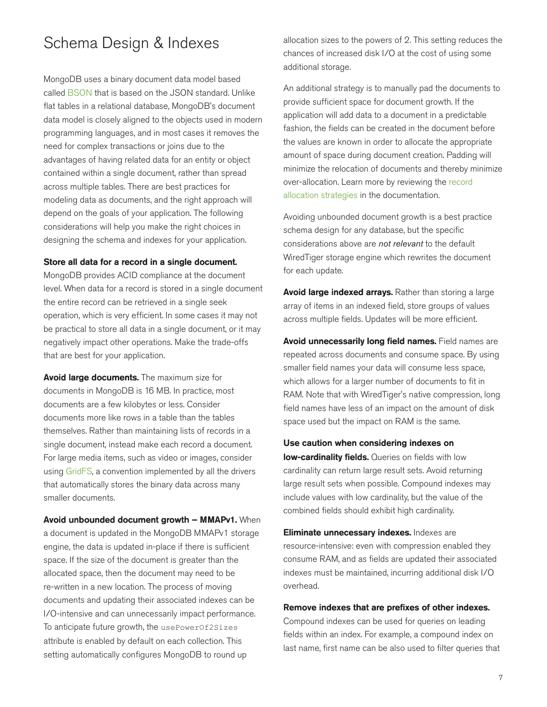### Schema Design & Indexes

MongoDB uses a binary document data model based called [BSON](http://www.bsonspec.org/) that is based on the JSON standard. Unlike flat tables in a relational database, MongoDB's document data model is closely aligned to the objects used in modern programming languages, and in most cases it removes the need for complex transactions or joins due to the advantages of having related data for an entity or object contained within a single document, rather than spread across multiple tables. There are best practices for modeling data as documents, and the right approach will depend on the goals of your application. The following considerations will help you make the right choices in designing the schema and indexes for your application.

#### Store all data for a record in a single document.

MongoDB provides ACID compliance at the document level. When data for a record is stored in a single document the entire record can be retrieved in a single seek operation, which is very efficient. In some cases it may not be practical to store all data in a single document, or it may negatively impact other operations. Make the trade-offs that are best for your application.

Avoid large documents. The maximum size for documents in MongoDB is 16 MB. In practice, most documents are a few kilobytes or less. Consider documents more like rows in a table than the tables themselves. Rather than maintaining lists of records in a single document, instead make each record a document. For large media items, such as video or images, consider using [GridFS,](http://docs.mongodb.com/manual/core/gridfs/) a convention implemented by all the drivers that automatically stores the binary data across many smaller documents.

Avoid unbounded document growth – MMAPv1. When a document is updated in the MongoDB MMAPv1 storage engine, the data is updated in-place if there is sufficient space. If the size of the document is greater than the allocated space, then the document may need to be re-written in a new location. The process of moving documents and updating their associated indexes can be I/O-intensive and can unnecessarily impact performance. To anticipate future growth, the usePowerOf2Sizes attribute is enabled by default on each collection. This setting automatically configures MongoDB to round up

allocation sizes to the powers of 2. This setting reduces the chances of increased disk I/O at the cost of using some additional storage.

An additional strategy is to manually pad the documents to provide sufficient space for document growth. If the application will add data to a document in a predictable fashion, the fields can be created in the document before the values are known in order to allocate the appropriate amount of space during document creation. Padding will minimize the relocation of documents and thereby minimize over-allocation. Learn more by reviewing the [record](https://docs.mongodb.com/manual/core/mmapv1/#power-of-2-allocation) [allocation strategies](https://docs.mongodb.com/manual/core/mmapv1/#power-of-2-allocation) in the documentation.

Avoiding unbounded document growth is a best practice schema design for any database, but the specific considerations above are *not relevant* to the default WiredTiger storage engine which rewrites the document for each update.

Avoid large indexed arrays. Rather than storing a large array of items in an indexed field, store groups of values across multiple fields. Updates will be more efficient.

Avoid unnecessarily long field names. Field names are repeated across documents and consume space. By using smaller field names your data will consume less space, which allows for a larger number of documents to fit in RAM. Note that with WiredTiger's native compression, long field names have less of an impact on the amount of disk space used but the impact on RAM is the same.

#### Use caution when considering indexes on

low-cardinality fields. Queries on fields with low cardinality can return large result sets. Avoid returning large result sets when possible. Compound indexes may include values with low cardinality, but the value of the combined fields should exhibit high cardinality.

Eliminate unnecessary indexes. Indexes are resource-intensive: even with compression enabled they consume RAM, and as fields are updated their associated indexes must be maintained, incurring additional disk I/O overhead.

#### Remove indexes that are prefixes of other indexes.

Compound indexes can be used for queries on leading fields within an index. For example, a compound index on last name, first name can be also used to filter queries that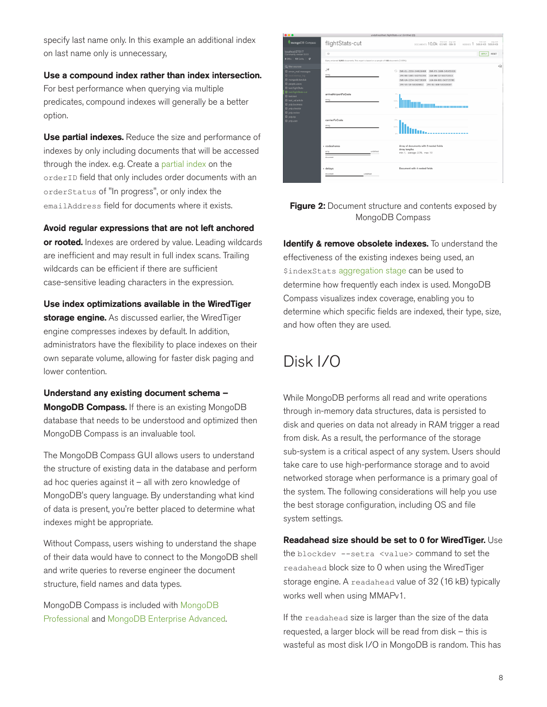specify last name only. In this example an additional index on last name only is unnecessary,

Use a compound index rather than index intersection. For best performance when querying via multiple predicates, compound indexes will generally be a better option.

Use partial indexes. Reduce the size and performance of indexes by only including documents that will be accessed through the index. e.g. Create a [partial index](https://docs.mongodb.com/manual/core/index-partial/) on the orderID field that only includes order documents with an orderStatus of "In progress", or only index the emailAddress field for documents where it exists.

Avoid regular expressions that are not left anchored

or rooted. Indexes are ordered by value. Leading wildcards are inefficient and may result in full index scans. Trailing wildcards can be efficient if there are sufficient case-sensitive leading characters in the expression.

Use index optimizations available in the WiredTiger storage engine. As discussed earlier, the WiredTiger engine compresses indexes by default. In addition, administrators have the flexibility to place indexes on their own separate volume, allowing for faster disk paging and lower contention.

Understand any existing document schema – **MongoDB Compass.** If there is an existing MongoDB database that needs to be understood and optimized then MongoDB Compass is an invaluable tool.

The MongoDB Compass GUI allows users to understand the structure of existing data in the database and perform ad hoc queries against it – all with zero knowledge of MongoDB's query language. By understanding what kind of data is present, you're better placed to determine what indexes might be appropriate.

Without Compass, users wishing to understand the shape of their data would have to connect to the MongoDB shell and write queries to reverse engineer the document structure, field names and data types.

MongoDB Compass is included with [MongoDB](https://www.mongodb.com/products/mongodb-professional) [Professional](https://www.mongodb.com/products/mongodb-professional) and [MongoDB Enterprise Advanced](https://www.mongodb.com/products/mongodb-enterprise-advanced).

| <br>undefined/test.flightStats-cut (Untitled (2))                                                                                                                                                                                                                                                                                    |                                                                                                                  |                                                                                                                                                                                                              |  |  |  |  |  |  |
|--------------------------------------------------------------------------------------------------------------------------------------------------------------------------------------------------------------------------------------------------------------------------------------------------------------------------------------|------------------------------------------------------------------------------------------------------------------|--------------------------------------------------------------------------------------------------------------------------------------------------------------------------------------------------------------|--|--|--|--|--|--|
| mongoDB Compass                                                                                                                                                                                                                                                                                                                      | flightStats-cut                                                                                                  | DOCUMENTS 10.0k 65 MB 684 B<br>total size<br>eyo, size<br>566.9 KB 566.9 KB<br>NOEXES <sub>1</sub>                                                                                                           |  |  |  |  |  |  |
| localhost-27017<br>Community version 3.0.3<br>8 DBs   13 Colls.   C                                                                                                                                                                                                                                                                  | $\left\{ \right\}$<br>Query returned 9,993 documents. This report is based on a sample of 100 documents (1.00%). | RESET<br><b>APPLY</b>                                                                                                                                                                                        |  |  |  |  |  |  |
| Q filter sources<br>@ enron mailmessages<br><b>B</b> localistartup log<br><b>B</b> mongodb.fanclub<br><b>R</b> people users<br><b>B</b> test.flightStats<br><b>B</b> test.fightStats-cut<br><b>El test.test</b><br>B test valuation<br><b>B</b> velo.business<br>g yelp.checkin<br>B yelp.review<br><b>B</b> yeip tip<br>g yelp.user | id<br>string                                                                                                     | 4回<br>$\circ$<br>EWR-DL-2558-544626460<br>EWR-FX-1600-545455936<br>JFK-86-1401-542751193<br>LGA-WN-12-543715513<br>EWR-UA-2254-542738169<br>LGA-UA-681-543715706<br>JFK-VS-10-541828012 JFK-0L-440-541828187 |  |  |  |  |  |  |
|                                                                                                                                                                                                                                                                                                                                      | arrivalAirportFsCode<br>string                                                                                   | 75.<br>3.5%                                                                                                                                                                                                  |  |  |  |  |  |  |
|                                                                                                                                                                                                                                                                                                                                      | carrierFsCode<br>string                                                                                          | 12%<br>$0.5\%$                                                                                                                                                                                               |  |  |  |  |  |  |
|                                                                                                                                                                                                                                                                                                                                      | codeshares<br>undefined<br>arrey<br>document                                                                     | Array of documents with 3 nested fields<br>Array lengths<br>min: 1, average: 2.76, max: 10                                                                                                                   |  |  |  |  |  |  |
|                                                                                                                                                                                                                                                                                                                                      | + delays<br>undefined<br>document                                                                                | Document with 4 nested fields                                                                                                                                                                                |  |  |  |  |  |  |

Figure 2: Document structure and contents exposed by MongoDB Compass

Identify & remove obsolete indexes. To understand the effectiveness of the existing indexes being used, an [\\$indexStats](https://docs.mongodb.com/manual/reference/operator/aggregation/indexStats/) [aggregation stage](https://docs.mongodb.com/manual/reference/operator/aggregation/indexStats/) can be used to determine how frequently each index is used. MongoDB Compass visualizes index coverage, enabling you to determine which specific fields are indexed, their type, size, and how often they are used.

### Disk I/O

While MongoDB performs all read and write operations through in-memory data structures, data is persisted to disk and queries on data not already in RAM trigger a read from disk. As a result, the performance of the storage sub-system is a critical aspect of any system. Users should take care to use high-performance storage and to avoid networked storage when performance is a primary goal of the system. The following considerations will help you use the best storage configuration, including OS and file system settings.

Readahead size should be set to 0 for WiredTiger. Use the blockdev --setra <value> command to set the readahead block size to 0 when using the WiredTiger storage engine. A readahead value of 32 (16 kB) typically works well when using MMAPv1.

If the readahead size is larger than the size of the data requested, a larger block will be read from disk – this is wasteful as most disk I/O in MongoDB is random. This has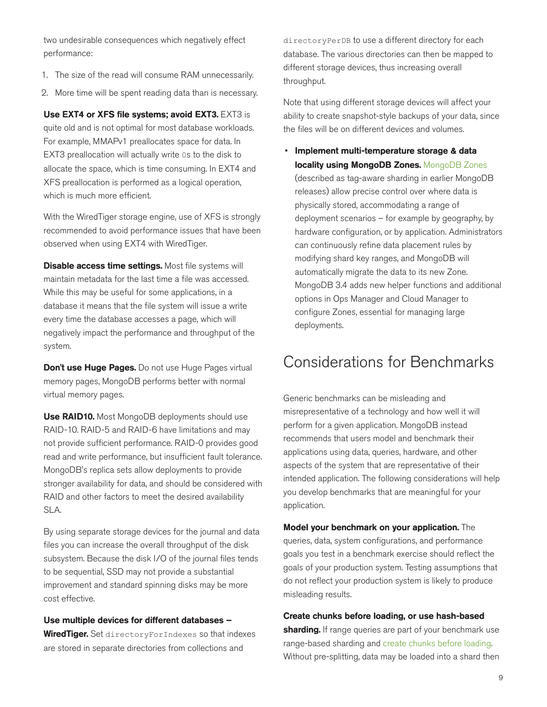two undesirable consequences which negatively effect performance:

- 1. The size of the read will consume RAM unnecessarily.
- 2. More time will be spent reading data than is necessary.

Use EXT4 or XFS file systems; avoid EXT3. EXT3 is

quite old and is not optimal for most database workloads. For example, MMAPv1 preallocates space for data. In EXT3 preallocation will actually write 0s to the disk to allocate the space, which is time consuming. In EXT4 and XFS preallocation is performed as a logical operation, which is much more efficient.

With the WiredTiger storage engine, use of XFS is strongly recommended to avoid performance issues that have been observed when using EXT4 with WiredTiger.

Disable access time settings. Most file systems will maintain metadata for the last time a file was accessed. While this may be useful for some applications, in a database it means that the file system will issue a write every time the database accesses a page, which will negatively impact the performance and throughput of the system.

Don't use Huge Pages. Do not use Huge Pages virtual memory pages, MongoDB performs better with normal virtual memory pages.

Use RAID10. Most MongoDB deployments should use RAID-10. RAID-5 and RAID-6 have limitations and may not provide sufficient performance. RAID-0 provides good read and write performance, but insufficient fault tolerance. MongoDB's replica sets allow deployments to provide stronger availability for data, and should be considered with RAID and other factors to meet the desired availability SLA.

By using separate storage devices for the journal and data files you can increase the overall throughput of the disk subsystem. Because the disk I/O of the journal files tends to be sequential, SSD may not provide a substantial improvement and standard spinning disks may be more cost effective.

Use multiple devices for different databases – WiredTiger. Set directoryForIndexes so that indexes are stored in separate directories from collections and

directoryPerDB to use a different directory for each database. The various directories can then be mapped to different storage devices, thus increasing overall throughput.

Note that using different storage devices will affect your ability to create snapshot-style backups of your data, since the files will be on different devices and volumes.

• Implement multi-temperature storage & data locality using [MongoDB Zones](https://docs.mongodb.com/master/core/zone-sharding/). MongoDB Zones (described as tag-aware sharding in earlier MongoDB releases) allow precise control over where data is physically stored, accommodating a range of deployment scenarios – for example by geography, by hardware configuration, or by application. Administrators can continuously refine data placement rules by modifying shard key ranges, and MongoDB will automatically migrate the data to its new Zone. MongoDB 3.4 adds new helper functions and additional options in Ops Manager and Cloud Manager to configure Zones, essential for managing large deployments.

### Considerations for Benchmarks

Generic benchmarks can be misleading and misrepresentative of a technology and how well it will perform for a given application. MongoDB instead recommends that users model and benchmark their applications using data, queries, hardware, and other aspects of the system that are representative of their intended application. The following considerations will help you develop benchmarks that are meaningful for your application.

Model your benchmark on your application. The queries, data, system configurations, and performance goals you test in a benchmark exercise should reflect the goals of your production system. Testing assumptions that do not reflect your production system is likely to produce misleading results.

Create chunks before loading, or use hash-based

sharding. If range queries are part of your benchmark use range-based sharding and [create chunks before loading.](http://docs.mongodb.com/manual/tutorial/create-chunks-in-sharded-cluster/) Without pre-splitting, data may be loaded into a shard then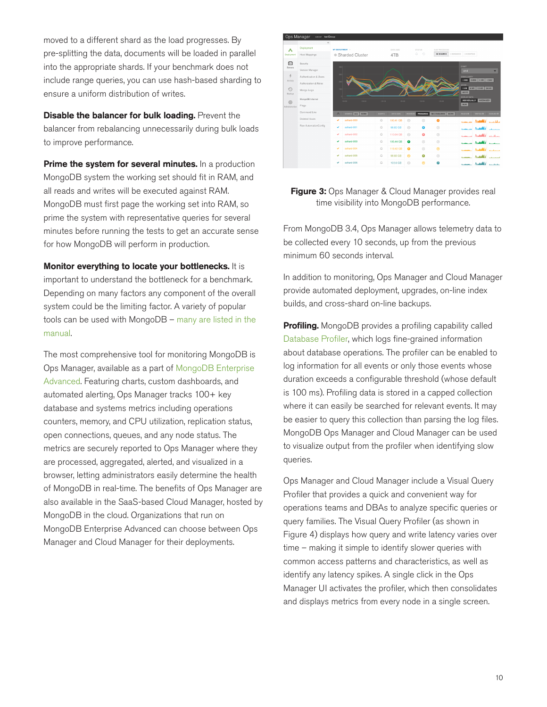moved to a different shard as the load progresses. By pre-splitting the data, documents will be loaded in parallel into the appropriate shards. If your benchmark does not include range queries, you can use hash-based sharding to ensure a uniform distribution of writes.

**Disable the balancer for bulk loading.** Prevent the balancer from rebalancing unnecessarily during bulk loads to improve performance.

**Prime the system for several minutes.** In a production MongoDB system the working set should fit in RAM, and all reads and writes will be executed against RAM. MongoDB must first page the working set into RAM, so prime the system with representative queries for several minutes before running the tests to get an accurate sense for how MongoDB will perform in production.

Monitor everything to locate your bottlenecks. It is important to understand the bottleneck for a benchmark. Depending on many factors any component of the overall system could be the limiting factor. A variety of popular tools can be used with MongoDB – [many are listed in the](http://docs.mongodb.com/manual/administration/monitoring/) [manual.](http://docs.mongodb.com/manual/administration/monitoring/)

The most comprehensive tool for monitoring MongoDB is Ops Manager, available as a part of [MongoDB Enterprise](https://www.mongodb.com/products/mongodb-enterprise-advanced) [Advanced](https://www.mongodb.com/products/mongodb-enterprise-advanced). Featuring charts, custom dashboards, and automated alerting, Ops Manager tracks 100+ key database and systems metrics including operations counters, memory, and CPU utilization, replication status, open connections, queues, and any node status. The metrics are securely reported to Ops Manager where they are processed, aggregated, alerted, and visualized in a browser, letting administrators easily determine the health of MongoDB in real-time. The benefits of Ops Manager are also available in the SaaS-based Cloud Manager, hosted by MongoDB in the cloud. Organizations that run on MongoDB Enterprise Advanced can choose between Ops Manager and Cloud Manager for their deployments.





From MongoDB 3.4, Ops Manager allows telemetry data to be collected every 10 seconds, up from the previous minimum 60 seconds interval.

In addition to monitoring, Ops Manager and Cloud Manager provide automated deployment, upgrades, on-line index builds, and cross-shard on-line backups.

Profiling. MongoDB provides a profiling capability called [Database Profiler,](https://docs.mongodb.com/manual/tutorial/manage-the-database-profiler/) which logs fine-grained information about database operations. The profiler can be enabled to log information for all events or only those events whose duration exceeds a configurable threshold (whose default is 100 ms). Profiling data is stored in a capped collection where it can easily be searched for relevant events. It may be easier to query this collection than parsing the log files. MongoDB Ops Manager and Cloud Manager can be used to visualize output from the profiler when identifying slow queries.

Ops Manager and Cloud Manager include a Visual Query Profiler that provides a quick and convenient way for operations teams and DBAs to analyze specific queries or query families. The Visual Query Profiler (as shown in Figure 4) displays how query and write latency varies over time – making it simple to identify slower queries with common access patterns and characteristics, as well as identify any latency spikes. A single click in the Ops Manager UI activates the profiler, which then consolidates and displays metrics from every node in a single screen.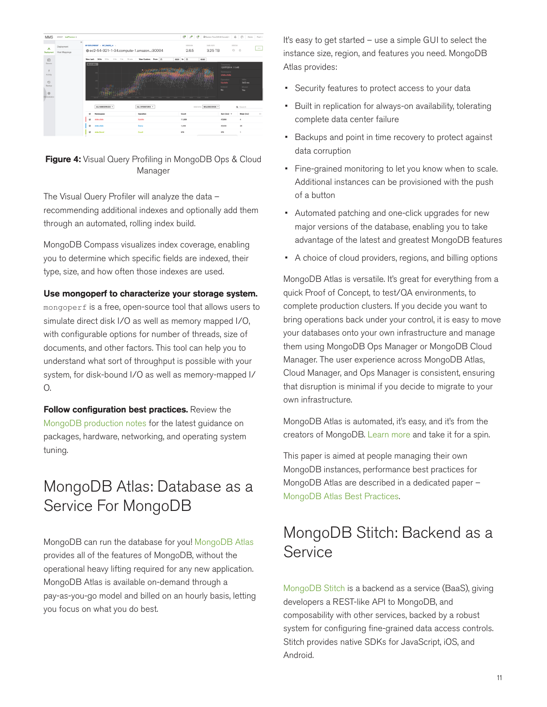| <b>MMS</b>                                                                   | GROUP buffranium +          |                |                                                                                                |                                                           | $\mathcal{O}$ $\mathcal{P}$<br>ೆ                                              | @Eastern Time (US & Canada) - $\bigotimes$ O - Admin - Fred +                                            |                                                  |          |
|------------------------------------------------------------------------------|-----------------------------|----------------|------------------------------------------------------------------------------------------------|-----------------------------------------------------------|-------------------------------------------------------------------------------|----------------------------------------------------------------------------------------------------------|--------------------------------------------------|----------|
| А<br>Deployment                                                              | Deployment<br>Host Mappings | $\overline{a}$ | MY DEPLOYMENT > MY SHARD of >                                                                  | @ec2-54-321-1-34.compute-1.amazon:30004                   | VERSION<br>2.6.5                                                              | DATA SIZE<br>3.25 TB                                                                                     | starus<br>$\odot$<br>Δ                           | $\cdots$ |
| $\bigcap$<br>Servers<br>Activity<br>$\odot$<br>Backup<br>₿<br>Administration |                             |                | View Leet: 24 by 12 by 6 by 1 by 15 min<br>MILLIS (MS) =                                       | View Custom: From (2)                                     | 00:00 to <b>m</b><br>00:00<br>13:00 14:00 15:00 14:00 17:00 18:00 18:00 29:00 | Tenantum<br>12/07/2014 11:48<br>Namespace<br>state.state<br>Operation<br><b>Update</b><br>Indexed<br>No. | Mille.<br>342 ms<br>Moved<br>Yes                 |          |
|                                                                              |                             |                | ALL NAMES/MCES .<br>R<br>Namespace<br>state state<br>R<br>R<br>state state<br>s.<br>state.Sond | AU, OPERATIONS .<br>Operation<br>Update<br>Osery<br>Count | Count<br>11,839<br>1,496<br>979                                               | STATISTIC MILLISECONDS -<br>Sum (ms) +<br>47,356<br>37,400<br>479                                        | Q Search<br>Mean (ms)<br>$\mathbf{A}$<br>25<br>٠ | 100      |



The Visual Query Profiler will analyze the data – recommending additional indexes and optionally add them through an automated, rolling index build.

MongoDB Compass visualizes index coverage, enabling you to determine which specific fields are indexed, their type, size, and how often those indexes are used.

#### Use mongoperf to characterize your storage system.

[mongoperf](http://docs.mongodb.com/manual/reference/program/mongoperf/) is a free, open-source tool that allows users to simulate direct disk I/O as well as memory mapped I/O, with configurable options for number of threads, size of documents, and other factors. This tool can help you to understand what sort of throughput is possible with your system, for disk-bound I/O as well as memory-mapped I/ O.

Follow configuration best practices. Review the [MongoDB production notes](https://docs.mongodb.com/manual/administration/production-notes/) for the latest guidance on packages, hardware, networking, and operating system tuning.

### MongoDB Atlas: Database as a Service For MongoDB

MongoDB can run the database for you! [MongoDB Atlas](https://www.mongodb.com/atlas) provides all of the features of MongoDB, without the operational heavy lifting required for any new application. MongoDB Atlas is available on-demand through a pay-as-you-go model and billed on an hourly basis, letting you focus on what you do best.

It's easy to get started – use a simple GUI to select the instance size, region, and features you need. MongoDB Atlas provides:

- Security features to protect access to your data
- Built in replication for always-on availability, tolerating complete data center failure
- Backups and point in time recovery to protect against data corruption
- Fine-grained monitoring to let you know when to scale. Additional instances can be provisioned with the push of a button
- Automated patching and one-click upgrades for new major versions of the database, enabling you to take advantage of the latest and greatest MongoDB features
- A choice of cloud providers, regions, and billing options

MongoDB Atlas is versatile. It's great for everything from a quick Proof of Concept, to test/QA environments, to complete production clusters. If you decide you want to bring operations back under your control, it is easy to move your databases onto your own infrastructure and manage them using MongoDB Ops Manager or MongoDB Cloud Manager. The user experience across MongoDB Atlas, Cloud Manager, and Ops Manager is consistent, ensuring that disruption is minimal if you decide to migrate to your own infrastructure.

MongoDB Atlas is automated, it's easy, and it's from the creators of MongoDB. [Learn more](https://www.mongodb.com/cloud) and take it for a spin.

This paper is aimed at people managing their own MongoDB instances, performance best practices for MongoDB Atlas are described in a dedicated paper – [MongoDB Atlas Best Practices](https://www.mongodb.com/collateral/mongodb-atlas-best-practices).

### MongoDB Stitch: Backend as a Service

[MongoDB Stitch](https://www.mongodb.com/cloud/stitch) is a backend as a service (BaaS), giving developers a REST-like API to MongoDB, and composability with other services, backed by a robust system for configuring fine-grained data access controls. Stitch provides native SDKs for JavaScript, iOS, and Android.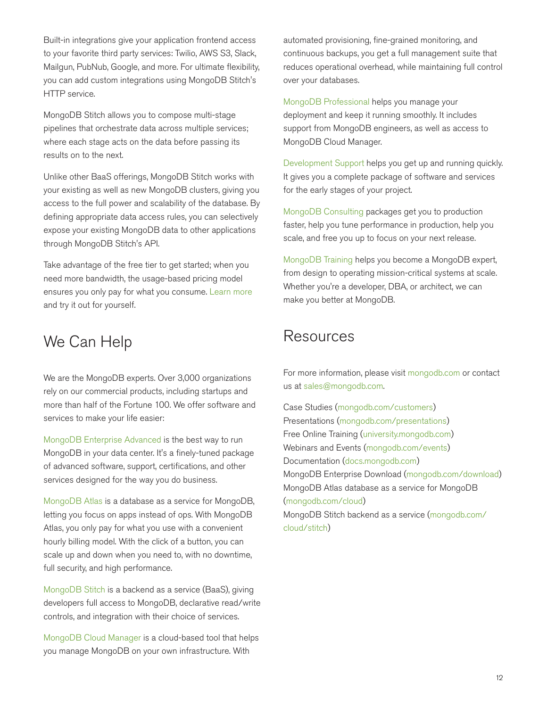Built-in integrations give your application frontend access to your favorite third party services: Twilio, AWS S3, Slack, Mailgun, PubNub, Google, and more. For ultimate flexibility, you can add custom integrations using MongoDB Stitch's HTTP service.

MongoDB Stitch allows you to compose multi-stage pipelines that orchestrate data across multiple services; where each stage acts on the data before passing its results on to the next.

Unlike other BaaS offerings, MongoDB Stitch works with your existing as well as new MongoDB clusters, giving you access to the full power and scalability of the database. By defining appropriate data access rules, you can selectively expose your existing MongoDB data to other applications through MongoDB Stitch's API.

Take advantage of the free tier to get started; when you need more bandwidth, the usage-based pricing model ensures you only pay for what you consume. [Learn more](https://www.mongodb.com/cloud/stitch) and try it out for yourself.

### We Can Help

We are the MongoDB experts. Over 3,000 organizations rely on our commercial products, including startups and more than half of the Fortune 100. We offer software and services to make your life easier:

[MongoDB Enterprise Advanced](https://www.mongodb.com/products/mongodb-enterprise-advanced) is the best way to run MongoDB in your data center. It's a finely-tuned package of advanced software, support, certifications, and other services designed for the way you do business.

[MongoDB Atlas](https://www.mongodb.com/atlas) is a database as a service for MongoDB, letting you focus on apps instead of ops. With MongoDB Atlas, you only pay for what you use with a convenient hourly billing model. With the click of a button, you can scale up and down when you need to, with no downtime, full security, and high performance.

[MongoDB Stitch](https://www.mongodb.com/cloud/stitch) is a backend as a service (BaaS), giving developers full access to MongoDB, declarative read/write controls, and integration with their choice of services.

[MongoDB Cloud Manager](https://www.mongodb.com/products/cloud-manager) is a cloud-based tool that helps you manage MongoDB on your own infrastructure. With

automated provisioning, fine-grained monitoring, and continuous backups, you get a full management suite that reduces operational overhead, while maintaining full control over your databases.

[MongoDB Professional](https://www.mongodb.com/products/mongodb-professional) helps you manage your deployment and keep it running smoothly. It includes support from MongoDB engineers, as well as access to MongoDB Cloud Manager.

[Development Support](https://www.mongodb.com/products/development-support) helps you get up and running quickly. It gives you a complete package of software and services for the early stages of your project.

[MongoDB Consulting](https://www.mongodb.com/products/consulting) packages get you to production faster, help you tune performance in production, help you scale, and free you up to focus on your next release.

[MongoDB Training](https://university.mongodb.com/private_training) helps you become a MongoDB expert, from design to operating mission-critical systems at scale. Whether you're a developer, DBA, or architect, we can make you better at MongoDB.

### **Resources**

For more information, please visit [mongodb.com](http://www.mongodb.com) or contact us at [sales@mongodb.com](mailto:sales@mongodb.com).

Case Studies [\(mongodb.com/customers\)](http://mongodb.com/customers) Presentations [\(mongodb.com/presentations](http://mongodb.com/presentations)) Free Online Training [\(university.mongodb.com](http://university.mongodb.com)) Webinars and Events [\(mongodb.com/events\)](http://mongodb.com/events) Documentation [\(docs.mongodb.com](http://docs.mongodb.com)) MongoDB Enterprise Download [\(mongodb.com/download\)](http://mongodb.com/download) MongoDB Atlas database as a service for MongoDB [\(mongodb.com/cloud](https://www.mongodb.com/cloud)) MongoDB Stitch backend as a service [\(mongodb.com/](https://www.mongodb.com/cloud/stitch) [cloud/stitch\)](https://www.mongodb.com/cloud/stitch)